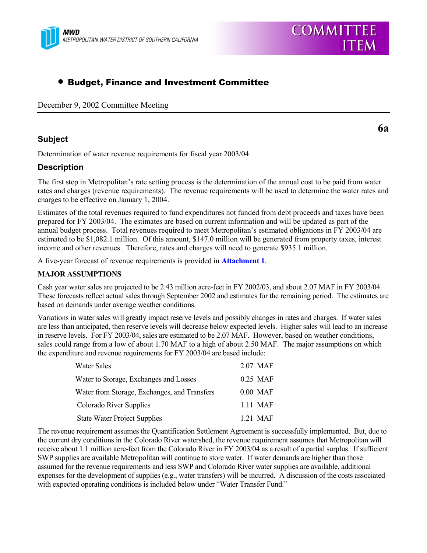

# • Budget, Finance and Investment Committee

December 9, 2002 Committee Meeting

## **Subject**

**6a**

Determination of water revenue requirements for fiscal year 2003/04

## **Description**

The first step in Metropolitanís rate setting process is the determination of the annual cost to be paid from water rates and charges (revenue requirements). The revenue requirements will be used to determine the water rates and charges to be effective on January 1, 2004.

Estimates of the total revenues required to fund expenditures not funded from debt proceeds and taxes have been prepared for FY 2003/04. The estimates are based on current information and will be updated as part of the annual budget process. Total revenues required to meet Metropolitan's estimated obligations in FY 2003/04 are estimated to be \$1,082.1 million. Of this amount, \$147.0 million will be generated from property taxes, interest income and other revenues. Therefore, rates and charges will need to generate \$935.1 million.

A five-year forecast of revenue requirements is provided in **Attachment 1**.

### **MAJOR ASSUMPTIONS**

Cash year water sales are projected to be 2.43 million acre-feet in FY 2002/03, and about 2.07 MAF in FY 2003/04. These forecasts reflect actual sales through September 2002 and estimates for the remaining period. The estimates are based on demands under average weather conditions.

Variations in water sales will greatly impact reserve levels and possibly changes in rates and charges. If water sales are less than anticipated, then reserve levels will decrease below expected levels. Higher sales will lead to an increase in reserve levels. For FY 2003/04, sales are estimated to be 2.07 MAF. However, based on weather conditions, sales could range from a low of about 1.70 MAF to a high of about 2.50 MAF. The major assumptions on which the expenditure and revenue requirements for FY 2003/04 are based include:

| Water Sales                                  | 2.07 MAF   |
|----------------------------------------------|------------|
| Water to Storage, Exchanges and Losses       | $0.25$ MAF |
| Water from Storage, Exchanges, and Transfers | $0.00$ MAF |
| Colorado River Supplies                      | 1.11 MAF   |
| <b>State Water Project Supplies</b>          | 1 21 MAF   |

The revenue requirement assumes the Quantification Settlement Agreement is successfully implemented. But, due to the current dry conditions in the Colorado River watershed, the revenue requirement assumes that Metropolitan will receive about 1.1 million acre-feet from the Colorado River in FY 2003/04 as a result of a partial surplus. If sufficient SWP supplies are available Metropolitan will continue to store water. If water demands are higher than those assumed for the revenue requirements and less SWP and Colorado River water supplies are available, additional expenses for the development of supplies (e.g., water transfers) will be incurred. A discussion of the costs associated with expected operating conditions is included below under "Water Transfer Fund."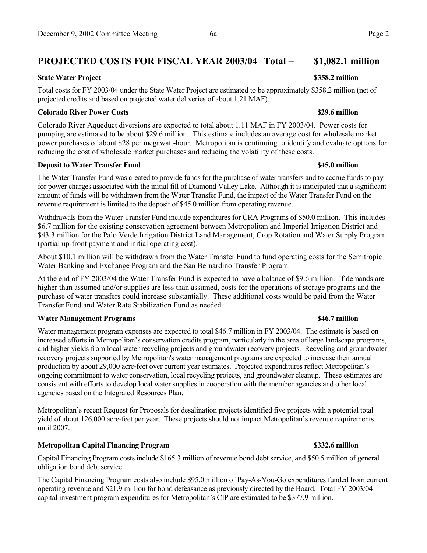# **PROJECTED COSTS FOR FISCAL YEAR 2003/04 Total = \$1,082.1 million**

#### **State Water Project**  $\bullet$  **S358.2 million**

Total costs for FY 2003/04 under the State Water Project are estimated to be approximately \$358.2 million (net of projected credits and based on projected water deliveries of about 1.21 MAF).

#### **Colorado River Power Costs \$29.6 million**

Colorado River Aqueduct diversions are expected to total about 1.11 MAF in FY 2003/04. Power costs for pumping are estimated to be about \$29.6 million. This estimate includes an average cost for wholesale market power purchases of about \$28 per megawatt-hour. Metropolitan is continuing to identify and evaluate options for reducing the cost of wholesale market purchases and reducing the volatility of these costs.

#### **Deposit to Water Transfer Fund \$45.0 million**

The Water Transfer Fund was created to provide funds for the purchase of water transfers and to accrue funds to pay for power charges associated with the initial fill of Diamond Valley Lake. Although it is anticipated that a significant amount of funds will be withdrawn from the Water Transfer Fund, the impact of the Water Transfer Fund on the revenue requirement is limited to the deposit of \$45.0 million from operating revenue.

Withdrawals from the Water Transfer Fund include expenditures for CRA Programs of \$50.0 million. This includes \$6.7 million for the existing conservation agreement between Metropolitan and Imperial Irrigation District and \$43.3 million for the Palo Verde Irrigation District Land Management, Crop Rotation and Water Supply Program (partial up-front payment and initial operating cost).

About \$10.1 million will be withdrawn from the Water Transfer Fund to fund operating costs for the Semitropic Water Banking and Exchange Program and the San Bernardino Transfer Program.

At the end of FY 2003/04 the Water Transfer Fund is expected to have a balance of \$9.6 million. If demands are higher than assumed and/or supplies are less than assumed, costs for the operations of storage programs and the purchase of water transfers could increase substantially. These additional costs would be paid from the Water Transfer Fund and Water Rate Stabilization Fund as needed.

### **Water Management Programs \$46.7 million**

Water management program expenses are expected to total \$46.7 million in FY 2003/04. The estimate is based on increased efforts in Metropolitan's conservation credits program, particularly in the area of large landscape programs, and higher yields from local water recycling projects and groundwater recovery projects. Recycling and groundwater recovery projects supported by Metropolitan's water management programs are expected to increase their annual production by about 29,000 acre-feet over current year estimates. Projected expenditures reflect Metropolitanís ongoing commitment to water conservation, local recycling projects, and groundwater cleanup. These estimates are consistent with efforts to develop local water supplies in cooperation with the member agencies and other local agencies based on the Integrated Resources Plan.

Metropolitan's recent Request for Proposals for desalination projects identified five projects with a potential total yield of about 126,000 acre-feet per year. These projects should not impact Metropolitanís revenue requirements until 2007.

### **Metropolitan Capital Financing Program \$332.6 million**

Capital Financing Program costs include \$165.3 million of revenue bond debt service, and \$50.5 million of general obligation bond debt service.

The Capital Financing Program costs also include \$95.0 million of Pay-As-You-Go expenditures funded from current operating revenue and \$21.9 million for bond defeasance as previously directed by the Board. Total FY 2003/04 capital investment program expenditures for Metropolitanís CIP are estimated to be \$377.9 million.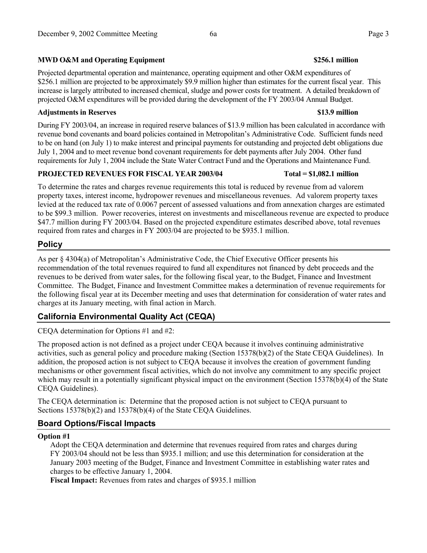## **MWD O&M and Operating Equipment \$256.1 million**

Projected departmental operation and maintenance, operating equipment and other O&M expenditures of \$256.1 million are projected to be approximately \$9.9 million higher than estimates for the current fiscal year. This increase is largely attributed to increased chemical, sludge and power costs for treatment. A detailed breakdown of projected O&M expenditures will be provided during the development of the FY 2003/04 Annual Budget.

### **Adjustments in Reserves \$13.9 million**

During FY 2003/04, an increase in required reserve balances of \$13.9 million has been calculated in accordance with revenue bond covenants and board policies contained in Metropolitan's Administrative Code. Sufficient funds need to be on hand (on July 1) to make interest and principal payments for outstanding and projected debt obligations due July 1, 2004 and to meet revenue bond covenant requirements for debt payments after July 2004. Other fund requirements for July 1, 2004 include the State Water Contract Fund and the Operations and Maintenance Fund.

### **PROJECTED REVENUES FOR FISCAL YEAR 2003/04 Total = \$1,082.1 million**

To determine the rates and charges revenue requirements this total is reduced by revenue from ad valorem property taxes, interest income, hydropower revenues and miscellaneous revenues. Ad valorem property taxes levied at the reduced tax rate of 0.0067 percent of assessed valuations and from annexation charges are estimated to be \$99.3 million. Power recoveries, interest on investments and miscellaneous revenue are expected to produce \$47.7 million during FY 2003/04. Based on the projected expenditure estimates described above, total revenues required from rates and charges in FY 2003/04 are projected to be \$935.1 million.

## **Policy**

As per  $\S$  4304(a) of Metropolitan's Administrative Code, the Chief Executive Officer presents his recommendation of the total revenues required to fund all expenditures not financed by debt proceeds and the revenues to be derived from water sales, for the following fiscal year, to the Budget, Finance and Investment Committee. The Budget, Finance and Investment Committee makes a determination of revenue requirements for the following fiscal year at its December meeting and uses that determination for consideration of water rates and charges at its January meeting, with final action in March.

# **California Environmental Quality Act (CEQA)**

CEQA determination for Options #1 and #2:

The proposed action is not defined as a project under CEQA because it involves continuing administrative activities, such as general policy and procedure making (Section 15378(b)(2) of the State CEQA Guidelines). In addition, the proposed action is not subject to CEQA because it involves the creation of government funding mechanisms or other government fiscal activities, which do not involve any commitment to any specific project which may result in a potentially significant physical impact on the environment (Section 15378(b)(4) of the State CEQA Guidelines).

The CEQA determination is: Determine that the proposed action is not subject to CEQA pursuant to Sections 15378(b)(2) and 15378(b)(4) of the State CEQA Guidelines.

# **Board Options/Fiscal Impacts**

## **Option #1**

Adopt the CEQA determination and determine that revenues required from rates and charges during FY 2003/04 should not be less than \$935.1 million; and use this determination for consideration at the January 2003 meeting of the Budget, Finance and Investment Committee in establishing water rates and charges to be effective January 1, 2004.

**Fiscal Impact:** Revenues from rates and charges of \$935.1 million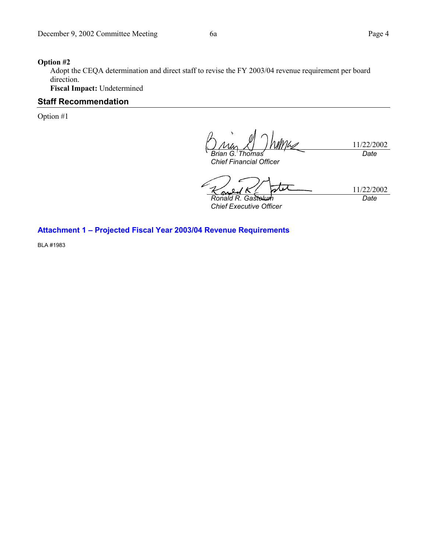#### **Option #2**

Adopt the CEQA determination and direct staff to revise the FY 2003/04 revenue requirement per board direction.

**Fiscal Impact:** Undetermined

## **Staff Recommendation**

Option #1

11/22/2002 *Brian G. Thomas Date*

*Chief Financial Officer*

11/22/2002 *Ronald R. Gastelum*

*Chief Executive Officer*

*Date*

## Attachment 1 - Projected Fiscal Year 2003/04 Revenue Requirements

BLA #1983